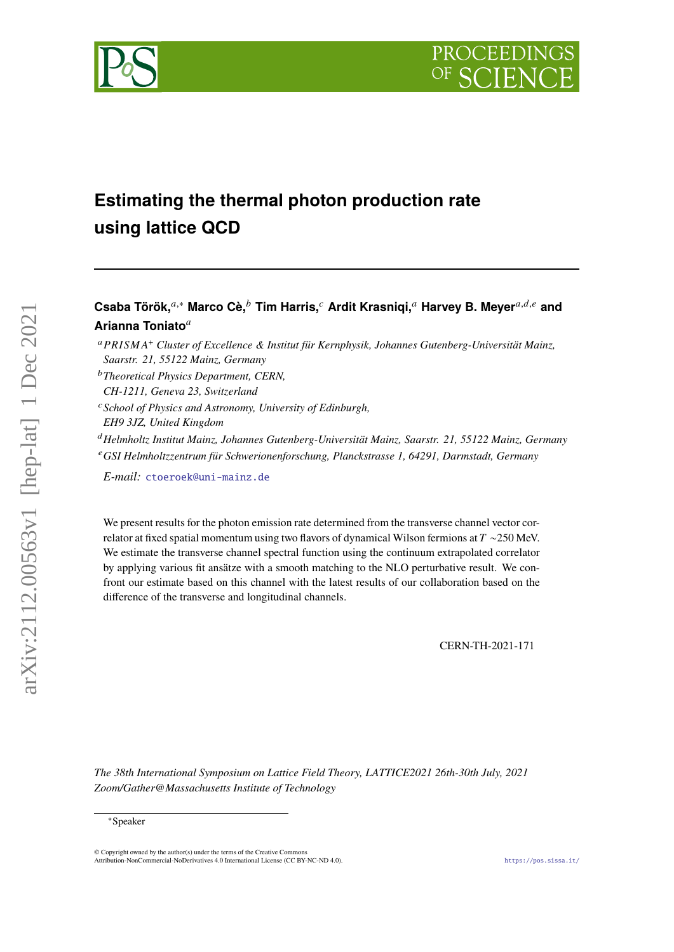# PROCEEDIN



## **Estimating the thermal photon production rate using lattice QCD**

### Csaba Török,<sup>*a*,∗</sup> Marco Cè,<sup>*b*</sup> Tim Harris,<sup>*c*</sup> Ardit Krasniqi,<sup>*a*</sup> Harvey B. Meyer<sup>*a,d,e*</sup> and **Arianna Toniato**

 <sup>+</sup> *Cluster of Excellence & Institut für Kernphysik, Johannes Gutenberg-Universität Mainz, Saarstr. 21, 55122 Mainz, Germany*

- *School of Physics and Astronomy, University of Edinburgh,*
- *EH9 3JZ, United Kingdom*

*Helmholtz Institut Mainz, Johannes Gutenberg-Universität Mainz, Saarstr. 21, 55122 Mainz, Germany GSI Helmholtzzentrum für Schwerionenforschung, Planckstrasse 1, 64291, Darmstadt, Germany*

*E-mail:* [ctoeroek@uni-mainz.de](mailto:ctoeroek@uni-mainz.de)

We present results for the photon emission rate determined from the transverse channel vector correlator at fixed spatial momentum using two flavors of dynamical Wilson fermions at  $T \sim 250$  MeV. We estimate the transverse channel spectral function using the continuum extrapolated correlator by applying various fit ansätze with a smooth matching to the NLO perturbative result. We confront our estimate based on this channel with the latest results of our collaboration based on the difference of the transverse and longitudinal channels.

CERN-TH-2021-171

*The 38th International Symposium on Lattice Field Theory, LATTICE2021 26th-30th July, 2021 Zoom/Gather@Massachusetts Institute of Technology*

arXiv:2112.00563v1 [hep-lat] 1 Dec 2021

 $arXiv:2112.00563v1$  [hep-lat] 1 Dec 2021

*Theoretical Physics Department, CERN,*

*CH-1211, Geneva 23, Switzerland*

<sup>∗</sup>Speaker

 $\odot$  Copyright owned by the author(s) under the terms of the Creative Common Attribution-NonCommercial-NoDerivatives 4.0 International License (CC BY-NC-ND 4.0). <https://pos.sissa.it/>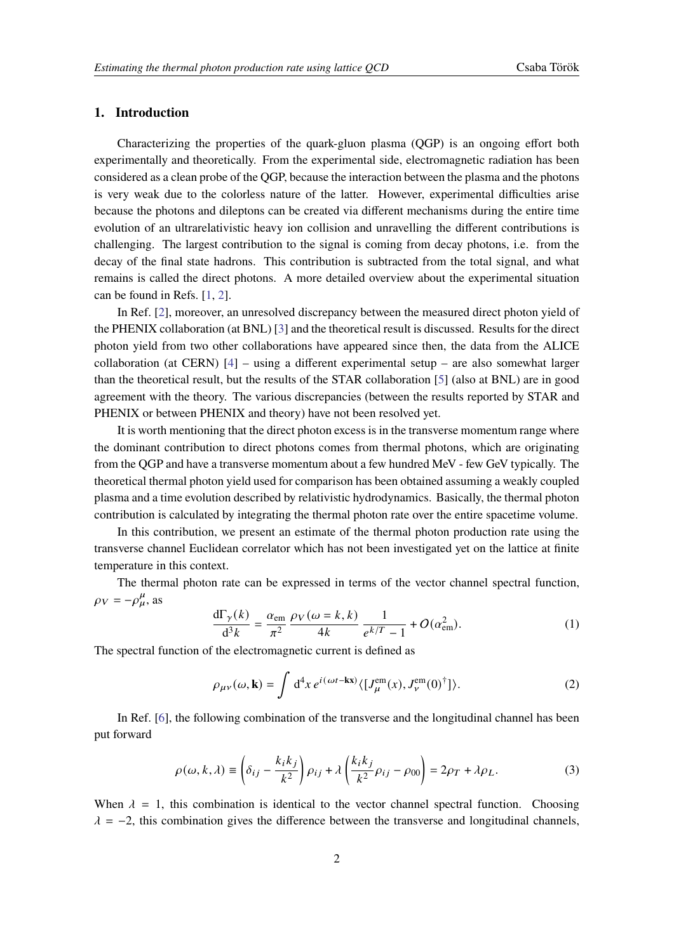#### **1. Introduction**

Characterizing the properties of the quark-gluon plasma (QGP) is an ongoing effort both experimentally and theoretically. From the experimental side, electromagnetic radiation has been considered as a clean probe of the QGP, because the interaction between the plasma and the photons is very weak due to the colorless nature of the latter. However, experimental difficulties arise because the photons and dileptons can be created via different mechanisms during the entire time evolution of an ultrarelativistic heavy ion collision and unravelling the different contributions is challenging. The largest contribution to the signal is coming from decay photons, i.e. from the decay of the final state hadrons. This contribution is subtracted from the total signal, and what remains is called the direct photons. A more detailed overview about the experimental situation can be found in Refs. [\[1,](#page-7-0) [2\]](#page-7-1).

In Ref. [\[2\]](#page-7-1), moreover, an unresolved discrepancy between the measured direct photon yield of the PHENIX collaboration (at BNL) [\[3\]](#page-7-2) and the theoretical result is discussed. Results for the direct photon yield from two other collaborations have appeared since then, the data from the ALICE collaboration (at CERN)  $[4]$  – using a different experimental setup – are also somewhat larger than the theoretical result, but the results of the STAR collaboration [\[5\]](#page-7-4) (also at BNL) are in good agreement with the theory. The various discrepancies (between the results reported by STAR and PHENIX or between PHENIX and theory) have not been resolved yet.

It is worth mentioning that the direct photon excess is in the transverse momentum range where the dominant contribution to direct photons comes from thermal photons, which are originating from the QGP and have a transverse momentum about a few hundred MeV - few GeV typically. The theoretical thermal photon yield used for comparison has been obtained assuming a weakly coupled plasma and a time evolution described by relativistic hydrodynamics. Basically, the thermal photon contribution is calculated by integrating the thermal photon rate over the entire spacetime volume.

In this contribution, we present an estimate of the thermal photon production rate using the transverse channel Euclidean correlator which has not been investigated yet on the lattice at finite temperature in this context.

The thermal photon rate can be expressed in terms of the vector channel spectral function,  $\rho_V = -\rho_\mu^\mu$ , as

<span id="page-1-0"></span>
$$
\frac{d\Gamma_{\gamma}(k)}{d^3k} = \frac{\alpha_{\rm em}}{\pi^2} \frac{\rho_V(\omega = k, k)}{4k} \frac{1}{e^{k/T} - 1} + O(\alpha_{\rm em}^2). \tag{1}
$$

The spectral function of the electromagnetic current is defined as

$$
\rho_{\mu\nu}(\omega, \mathbf{k}) = \int d^4x \, e^{i(\omega t - \mathbf{k}\mathbf{x})} \langle [J_{\mu}^{\text{em}}(x), J_{\nu}^{\text{em}}(0)^{\dagger}]\rangle.
$$
 (2)

In Ref. [\[6\]](#page-7-5), the following combination of the transverse and the longitudinal channel has been put forward

$$
\rho(\omega, k, \lambda) \equiv \left(\delta_{ij} - \frac{k_i k_j}{k^2}\right) \rho_{ij} + \lambda \left(\frac{k_i k_j}{k^2} \rho_{ij} - \rho_{00}\right) = 2\rho_T + \lambda \rho_L.
$$
\n(3)

When  $\lambda = 1$ , this combination is identical to the vector channel spectral function. Choosing  $\lambda = -2$ , this combination gives the difference between the transverse and longitudinal channels,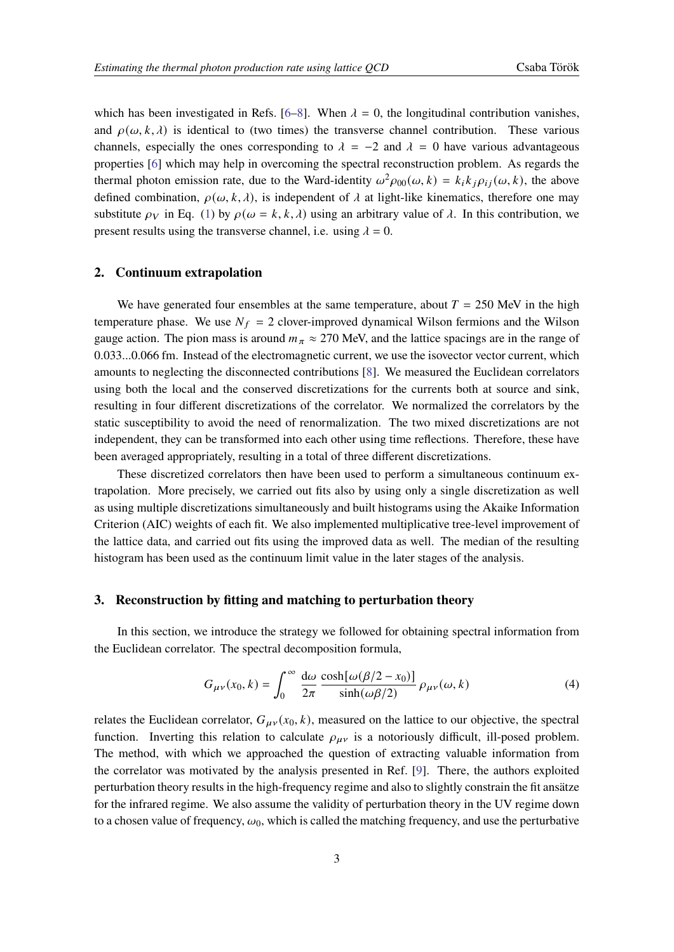which has been investigated in Refs. [\[6](#page-7-5)[–8\]](#page-7-6). When  $\lambda = 0$ , the longitudinal contribution vanishes, and  $\rho(\omega, k, \lambda)$  is identical to (two times) the transverse channel contribution. These various channels, especially the ones corresponding to  $\lambda = -2$  and  $\lambda = 0$  have various advantageous properties [\[6\]](#page-7-5) which may help in overcoming the spectral reconstruction problem. As regards the thermal photon emission rate, due to the Ward-identity  $\omega^2 \rho_{00}(\omega, k) = k_i k_j \rho_{ij}(\omega, k)$ , the above defined combination,  $\rho(\omega, k, \lambda)$ , is independent of  $\lambda$  at light-like kinematics, therefore one may substitute  $\rho_V$  in Eq. [\(1\)](#page-1-0) by  $\rho(\omega = k, k, \lambda)$  using an arbitrary value of  $\lambda$ . In this contribution, we present results using the transverse channel, i.e. using  $\lambda = 0$ .

#### **2. Continuum extrapolation**

We have generated four ensembles at the same temperature, about  $T = 250$  MeV in the high temperature phase. We use  $N_f = 2$  clover-improved dynamical Wilson fermions and the Wilson gauge action. The pion mass is around  $m_{\pi} \approx 270$  MeV, and the lattice spacings are in the range of 0.033...0.066 fm. Instead of the electromagnetic current, we use the isovector vector current, which amounts to neglecting the disconnected contributions [\[8\]](#page-7-6). We measured the Euclidean correlators using both the local and the conserved discretizations for the currents both at source and sink, resulting in four different discretizations of the correlator. We normalized the correlators by the static susceptibility to avoid the need of renormalization. The two mixed discretizations are not independent, they can be transformed into each other using time reflections. Therefore, these have been averaged appropriately, resulting in a total of three different discretizations.

These discretized correlators then have been used to perform a simultaneous continuum extrapolation. More precisely, we carried out fits also by using only a single discretization as well as using multiple discretizations simultaneously and built histograms using the Akaike Information Criterion (AIC) weights of each fit. We also implemented multiplicative tree-level improvement of the lattice data, and carried out fits using the improved data as well. The median of the resulting histogram has been used as the continuum limit value in the later stages of the analysis.

#### **3. Reconstruction by fitting and matching to perturbation theory**

In this section, we introduce the strategy we followed for obtaining spectral information from the Euclidean correlator. The spectral decomposition formula,

$$
G_{\mu\nu}(x_0, k) = \int_0^\infty \frac{d\omega}{2\pi} \frac{\cosh[\omega(\beta/2 - x_0)]}{\sinh(\omega\beta/2)} \rho_{\mu\nu}(\omega, k)
$$
(4)

relates the Euclidean correlator,  $G_{\mu\nu}(x_0, k)$ , measured on the lattice to our objective, the spectral function. Inverting this relation to calculate  $\rho_{\mu\nu}$  is a notoriously difficult, ill-posed problem. The method, with which we approached the question of extracting valuable information from the correlator was motivated by the analysis presented in Ref. [\[9\]](#page-7-7). There, the authors exploited perturbation theory results in the high-frequency regime and also to slightly constrain the fit ansätze for the infrared regime. We also assume the validity of perturbation theory in the UV regime down to a chosen value of frequency,  $\omega_0$ , which is called the matching frequency, and use the perturbative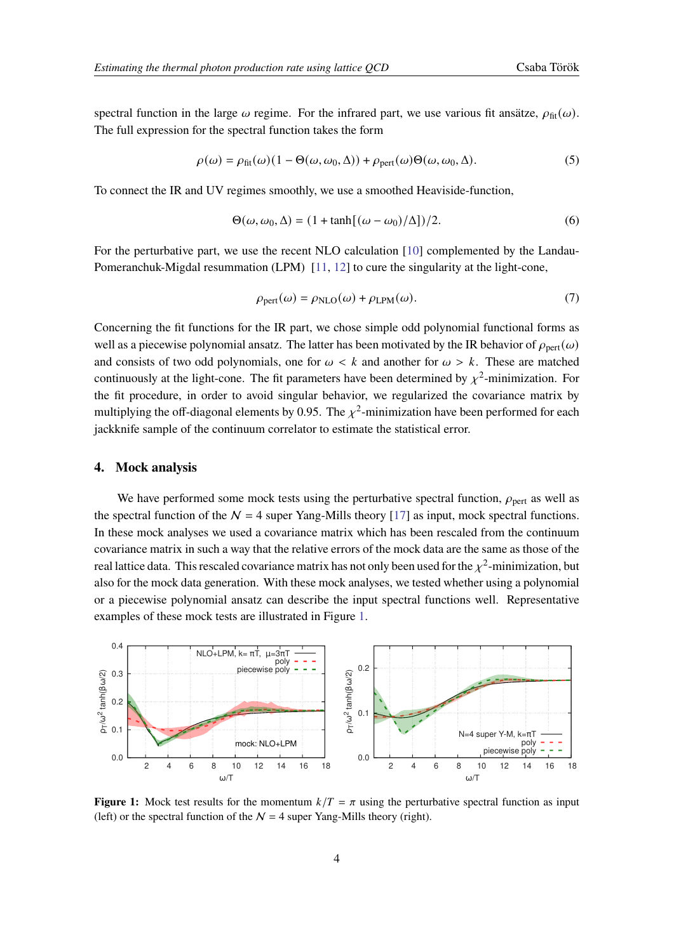spectral function in the large  $\omega$  regime. For the infrared part, we use various fit ansätze,  $\rho_{\text{fit}}(\omega)$ . The full expression for the spectral function takes the form

$$
\rho(\omega) = \rho_{\text{fit}}(\omega)(1 - \Theta(\omega, \omega_0, \Delta)) + \rho_{\text{pert}}(\omega)\Theta(\omega, \omega_0, \Delta).
$$
\n(5)

To connect the IR and UV regimes smoothly, we use a smoothed Heaviside-function,

$$
\Theta(\omega, \omega_0, \Delta) = (1 + \tanh[(\omega - \omega_0)/\Delta])/2.
$$
\n(6)

For the perturbative part, we use the recent NLO calculation [\[10\]](#page-7-8) complemented by the Landau-Pomeranchuk-Migdal resummation (LPM) [\[11,](#page-7-9) [12\]](#page-7-10) to cure the singularity at the light-cone,

$$
\rho_{\text{pert}}(\omega) = \rho_{\text{NLO}}(\omega) + \rho_{\text{LPM}}(\omega). \tag{7}
$$

Concerning the fit functions for the IR part, we chose simple odd polynomial functional forms as well as a piecewise polynomial ansatz. The latter has been motivated by the IR behavior of  $\rho_{\text{pert}}(\omega)$ and consists of two odd polynomials, one for  $\omega < k$  and another for  $\omega > k$ . These are matched continuously at the light-cone. The fit parameters have been determined by  $\chi^2$ -minimization. For the fit procedure, in order to avoid singular behavior, we regularized the covariance matrix by multiplying the off-diagonal elements by 0.95. The  $\chi^2$ -minimization have been performed for each jackknife sample of the continuum correlator to estimate the statistical error.

#### **4. Mock analysis**

We have performed some mock tests using the perturbative spectral function,  $\rho_{\text{pert}}$  as well as the spectral function of the  $N = 4$  super Yang-Mills theory [\[17\]](#page-8-0) as input, mock spectral functions. In these mock analyses we used a covariance matrix which has been rescaled from the continuum covariance matrix in such a way that the relative errors of the mock data are the same as those of the real lattice data. This rescaled covariance matrix has not only been used for the  $\chi^2$ -minimization, but also for the mock data generation. With these mock analyses, we tested whether using a polynomial or a piecewise polynomial ansatz can describe the input spectral functions well. Representative examples of these mock tests are illustrated in Figure [1.](#page-3-0)

<span id="page-3-0"></span>

**Figure 1:** Mock test results for the momentum  $k/T = \pi$  using the perturbative spectral function as input (left) or the spectral function of the  $N = 4$  super Yang-Mills theory (right).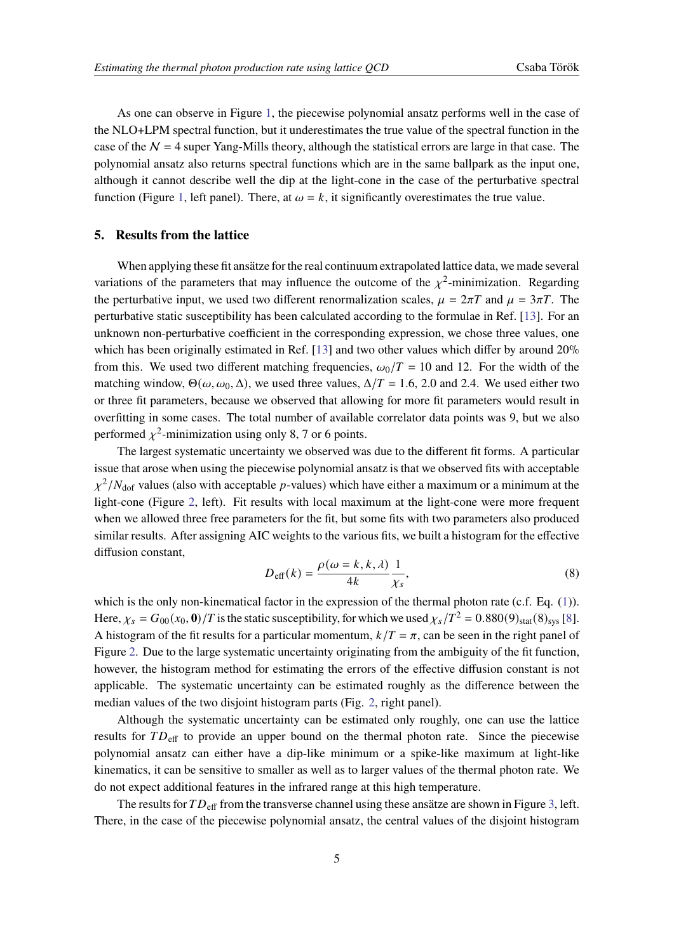As one can observe in Figure [1,](#page-3-0) the piecewise polynomial ansatz performs well in the case of the NLO+LPM spectral function, but it underestimates the true value of the spectral function in the case of the  $N = 4$  super Yang-Mills theory, although the statistical errors are large in that case. The polynomial ansatz also returns spectral functions which are in the same ballpark as the input one, although it cannot describe well the dip at the light-cone in the case of the perturbative spectral function (Figure [1,](#page-3-0) left panel). There, at  $\omega = k$ , it significantly overestimates the true value.

#### **5. Results from the lattice**

When applying these fit ansätze for the real continuum extrapolated lattice data, we made several variations of the parameters that may influence the outcome of the  $\chi^2$ -minimization. Regarding the perturbative input, we used two different renormalization scales,  $\mu = 2\pi T$  and  $\mu = 3\pi T$ . The perturbative static susceptibility has been calculated according to the formulae in Ref. [\[13\]](#page-7-11). For an unknown non-perturbative coefficient in the corresponding expression, we chose three values, one which has been originally estimated in Ref. [\[13\]](#page-7-11) and two other values which differ by around 20% from this. We used two different matching frequencies,  $\omega_0/T = 10$  and 12. For the width of the matching window,  $\Theta(\omega, \omega_0, \Delta)$ , we used three values,  $\Delta/T = 1.6, 2.0$  and 2.4. We used either two or three fit parameters, because we observed that allowing for more fit parameters would result in overfitting in some cases. The total number of available correlator data points was 9, but we also performed  $\chi^2$ -minimization using only 8, 7 or 6 points.

The largest systematic uncertainty we observed was due to the different fit forms. A particular issue that arose when using the piecewise polynomial ansatz is that we observed fits with acceptable  $\chi^2/N_{\rm dof}$  values (also with acceptable p-values) which have either a maximum or a minimum at the light-cone (Figure [2,](#page-5-0) left). Fit results with local maximum at the light-cone were more frequent when we allowed three free parameters for the fit, but some fits with two parameters also produced similar results. After assigning AIC weights to the various fits, we built a histogram for the effective diffusion constant,

$$
D_{\text{eff}}(k) = \frac{\rho(\omega = k, k, \lambda)}{4k} \frac{1}{\chi_s},\tag{8}
$$

which is the only non-kinematical factor in the expression of the thermal photon rate (c.f. Eq. [\(1\)](#page-1-0)). Here,  $\chi_s = G_{00}(x_0, 0)/T$  is the static susceptibility, for which we used  $\chi_s/T^2 = 0.880(9)_{\text{stat}}(8)_{\text{sys}}$  [\[8\]](#page-7-6). A histogram of the fit results for a particular momentum,  $k/T = \pi$ , can be seen in the right panel of Figure [2.](#page-5-0) Due to the large systematic uncertainty originating from the ambiguity of the fit function, however, the histogram method for estimating the errors of the effective diffusion constant is not applicable. The systematic uncertainty can be estimated roughly as the difference between the median values of the two disjoint histogram parts (Fig. [2,](#page-5-0) right panel).

Although the systematic uncertainty can be estimated only roughly, one can use the lattice results for  $TD_{\text{eff}}$  to provide an upper bound on the thermal photon rate. Since the piecewise polynomial ansatz can either have a dip-like minimum or a spike-like maximum at light-like kinematics, it can be sensitive to smaller as well as to larger values of the thermal photon rate. We do not expect additional features in the infrared range at this high temperature.

The results for  $TD_{\text{eff}}$  from the transverse channel using these ansätze are shown in Figure [3,](#page-5-1) left. There, in the case of the piecewise polynomial ansatz, the central values of the disjoint histogram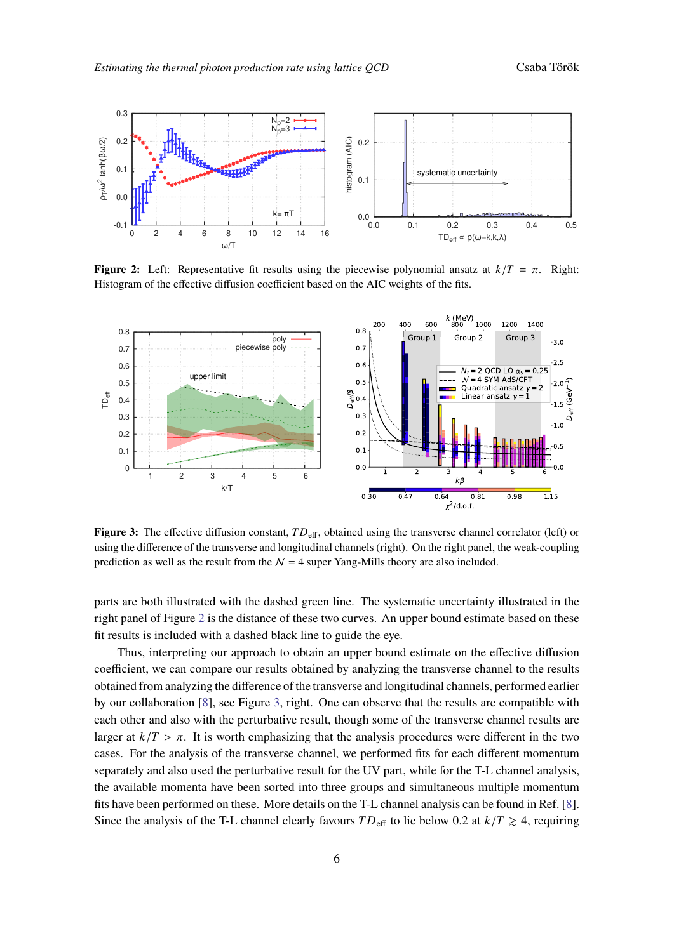<span id="page-5-0"></span>

<span id="page-5-1"></span>**Figure 2:** Left: Representative fit results using the piecewise polynomial ansatz at  $k/T = \pi$ . Right: Histogram of the effective diffusion coefficient based on the AIC weights of the fits.



**Figure 3:** The effective diffusion constant,  $TD_{\text{eff}}$ , obtained using the transverse channel correlator (left) or using the difference of the transverse and longitudinal channels (right). On the right panel, the weak-coupling prediction as well as the result from the  $N = 4$  super Yang-Mills theory are also included.

parts are both illustrated with the dashed green line. The systematic uncertainty illustrated in the right panel of Figure [2](#page-5-0) is the distance of these two curves. An upper bound estimate based on these fit results is included with a dashed black line to guide the eye.

Thus, interpreting our approach to obtain an upper bound estimate on the effective diffusion coefficient, we can compare our results obtained by analyzing the transverse channel to the results obtained from analyzing the difference of the transverse and longitudinal channels, performed earlier by our collaboration [\[8\]](#page-7-6), see Figure [3,](#page-5-1) right. One can observe that the results are compatible with each other and also with the perturbative result, though some of the transverse channel results are larger at  $k/T > \pi$ . It is worth emphasizing that the analysis procedures were different in the two cases. For the analysis of the transverse channel, we performed fits for each different momentum separately and also used the perturbative result for the UV part, while for the T-L channel analysis, the available momenta have been sorted into three groups and simultaneous multiple momentum fits have been performed on these. More details on the T-L channel analysis can be found in Ref. [\[8\]](#page-7-6). Since the analysis of the T-L channel clearly favours  $TD_{\text{eff}}$  to lie below 0.2 at  $k/T \ge 4$ , requiring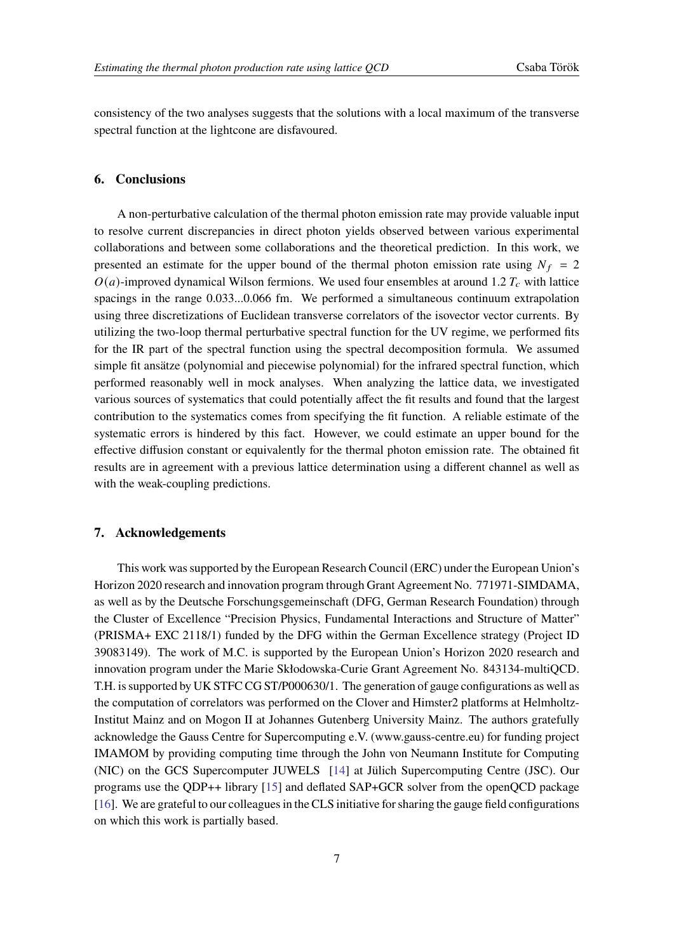consistency of the two analyses suggests that the solutions with a local maximum of the transverse spectral function at the lightcone are disfavoured.

#### **6. Conclusions**

A non-perturbative calculation of the thermal photon emission rate may provide valuable input to resolve current discrepancies in direct photon yields observed between various experimental collaborations and between some collaborations and the theoretical prediction. In this work, we presented an estimate for the upper bound of the thermal photon emission rate using  $N_f = 2$  $O(a)$ -improved dynamical Wilson fermions. We used four ensembles at around 1.2  $T_c$  with lattice spacings in the range 0.033...0.066 fm. We performed a simultaneous continuum extrapolation using three discretizations of Euclidean transverse correlators of the isovector vector currents. By utilizing the two-loop thermal perturbative spectral function for the UV regime, we performed fits for the IR part of the spectral function using the spectral decomposition formula. We assumed simple fit ansätze (polynomial and piecewise polynomial) for the infrared spectral function, which performed reasonably well in mock analyses. When analyzing the lattice data, we investigated various sources of systematics that could potentially affect the fit results and found that the largest contribution to the systematics comes from specifying the fit function. A reliable estimate of the systematic errors is hindered by this fact. However, we could estimate an upper bound for the effective diffusion constant or equivalently for the thermal photon emission rate. The obtained fit results are in agreement with a previous lattice determination using a different channel as well as with the weak-coupling predictions.

#### **7. Acknowledgements**

This work was supported by the European Research Council (ERC) under the European Union's Horizon 2020 research and innovation program through Grant Agreement No. 771971-SIMDAMA, as well as by the Deutsche Forschungsgemeinschaft (DFG, German Research Foundation) through the Cluster of Excellence "Precision Physics, Fundamental Interactions and Structure of Matter" (PRISMA+ EXC 2118/1) funded by the DFG within the German Excellence strategy (Project ID 39083149). The work of M.C. is supported by the European Union's Horizon 2020 research and innovation program under the Marie Skłodowska-Curie Grant Agreement No. 843134-multiQCD. T.H. is supported by UK STFC CG ST/P000630/1. The generation of gauge configurations as well as the computation of correlators was performed on the Clover and Himster2 platforms at Helmholtz-Institut Mainz and on Mogon II at Johannes Gutenberg University Mainz. The authors gratefully acknowledge the Gauss Centre for Supercomputing e.V. (www.gauss-centre.eu) for funding project IMAMOM by providing computing time through the John von Neumann Institute for Computing (NIC) on the GCS Supercomputer JUWELS [\[14\]](#page-7-12) at Jülich Supercomputing Centre (JSC). Our programs use the QDP++ library [\[15\]](#page-8-1) and deflated SAP+GCR solver from the openQCD package [\[16\]](#page-8-2). We are grateful to our colleagues in the CLS initiative for sharing the gauge field configurations on which this work is partially based.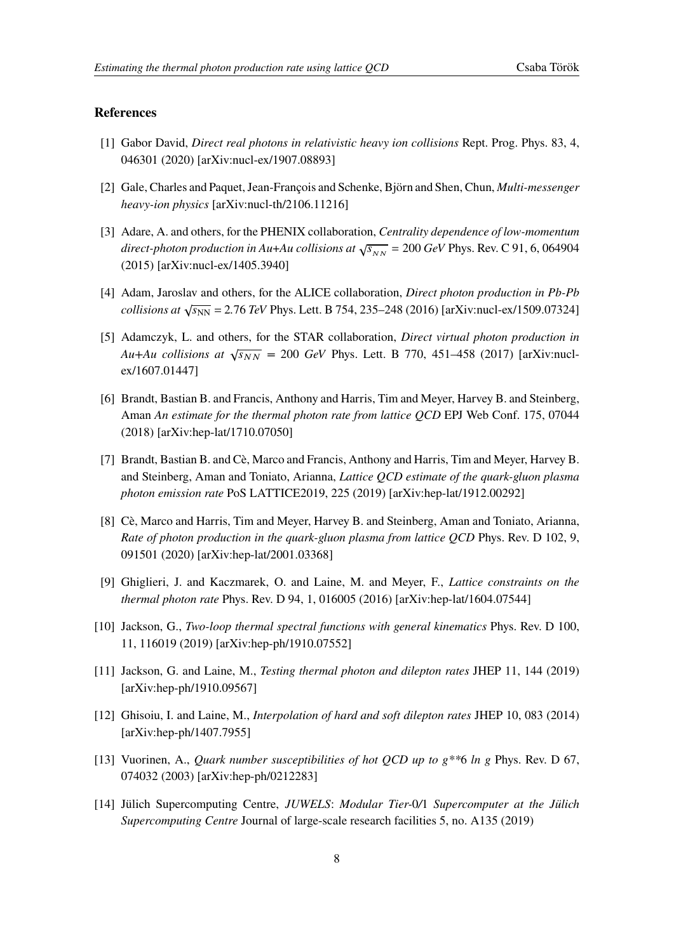#### **References**

- <span id="page-7-0"></span>[1] Gabor David, *Direct real photons in relativistic heavy ion collisions* Rept. Prog. Phys. 83, 4, 046301 (2020) [arXiv:nucl-ex/1907.08893]
- <span id="page-7-1"></span>[2] Gale, Charles and Paquet, Jean-François and Schenke, Björn and Shen, Chun, Multi-messenger heavy-ion physics [arXiv:nucl-th/2106.11216]
- <span id="page-7-2"></span>[3] Adare, A. and others, for the PHENIX collaboration, Centrality dependence of low-momentum direct-photon production in Au+Au collisions at  $\sqrt{s_{NN}}$  = 200 GeV Phys. Rev. C 91, 6, 064904 (2015) [arXiv:nucl-ex/1405.3940]
- <span id="page-7-3"></span>[4] Adam, Jaroslav and others, for the ALICE collaboration, *Direct photon production in Pb-Pb*  $\alpha$  collisions at  $\sqrt{s_{NN}}$  = 2.76 TeV Phys. Lett. B 754, 235–248 (2016) [arXiv:nucl-ex/1509.07324]
- <span id="page-7-4"></span>[5] Adamczyk, L. and others, for the STAR collaboration, Direct virtual photon production in Au+Au collisions at  $\sqrt{s_{NN}}$  = 200 GeV Phys. Lett. B 770, 451–458 (2017) [arXiv:nuclex/1607.01447]
- <span id="page-7-5"></span>[6] Brandt, Bastian B. and Francis, Anthony and Harris, Tim and Meyer, Harvey B. and Steinberg, Aman An estimate for the thermal photon rate from lattice QCD EPJ Web Conf. 175, 07044 (2018) [arXiv:hep-lat/1710.07050]
- [7] Brandt, Bastian B. and Cè, Marco and Francis, Anthony and Harris, Tim and Meyer, Harvey B. and Steinberg, Aman and Toniato, Arianna, Lattice QCD estimate of the quark-gluon plasma photon emission rate PoS LATTICE2019, 225 (2019) [arXiv:hep-lat/1912.00292]
- <span id="page-7-6"></span>[8] Cè, Marco and Harris, Tim and Meyer, Harvey B. and Steinberg, Aman and Toniato, Arianna, Rate of photon production in the quark-gluon plasma from lattice QCD Phys. Rev. D 102, 9, 091501 (2020) [arXiv:hep-lat/2001.03368]
- <span id="page-7-7"></span>[9] Ghiglieri, J. and Kaczmarek, O. and Laine, M. and Meyer, F., Lattice constraints on the thermal photon rate Phys. Rev. D 94, 1, 016005 (2016) [arXiv:hep-lat/1604.07544]
- <span id="page-7-8"></span>[10] Jackson, G., Two-loop thermal spectral functions with general kinematics Phys. Rev. D 100, 11, 116019 (2019) [arXiv:hep-ph/1910.07552]
- <span id="page-7-9"></span>[11] Jackson, G. and Laine, M., Testing thermal photon and dilepton rates JHEP 11, 144 (2019) [arXiv:hep-ph/1910.09567]
- <span id="page-7-10"></span>[12] Ghisoiu, I. and Laine, M., Interpolation of hard and soft dilepton rates JHEP 10, 083 (2014) [arXiv:hep-ph/1407.7955]
- <span id="page-7-11"></span>[13] Vuorinen, A., Quark number susceptibilities of hot QCD up to  $g^{**}6$  ln  $g$  Phys. Rev. D 67, 074032 (2003) [arXiv:hep-ph/0212283]
- <span id="page-7-12"></span>[14] Jülich Supercomputing Centre, JUWELS: Modular Tier-0/1 Supercomputer at the Jülich Supercomputing Centre Journal of large-scale research facilities 5, no. A135 (2019)